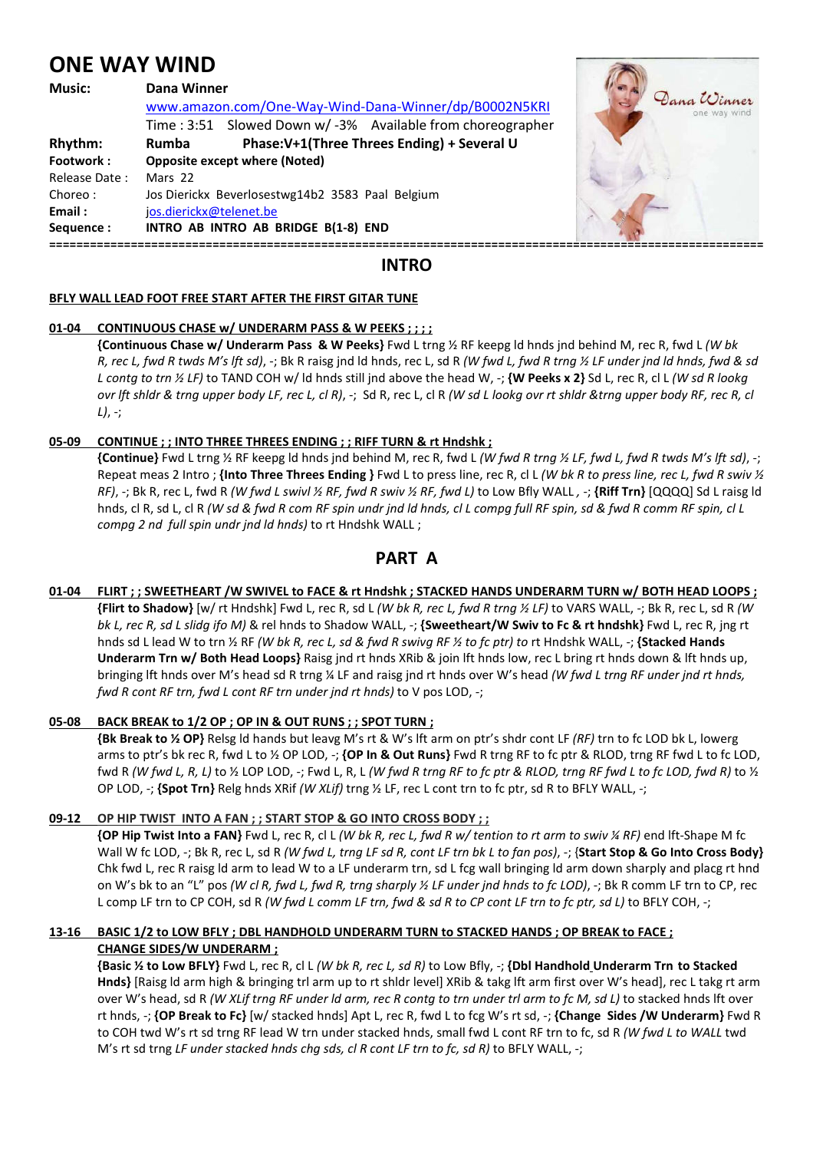# **ONE WAY WIND**

| <b>Music:</b> | Dana Winner                                               |                             |
|---------------|-----------------------------------------------------------|-----------------------------|
|               | www.amazon.com/One-Way-Wind-Dana-Winner/dp/B0002N5KRI     | Dana Winner<br>one way wind |
|               | Time: 3:51 Slowed Down w/-3% Available from choreographer |                             |
| Rhythm:       | Phase:V+1(Three Threes Ending) + Several U<br>Rumba       |                             |
| Footwork:     | <b>Opposite except where (Noted)</b>                      |                             |
| Release Date: | Mars 22                                                   |                             |
| Choreo:       | Jos Dierickx Beverlosestwg14b2 3583 Paal Belgium          |                             |
| Email:        | jos.dierickx@telenet.be                                   |                             |
| Sequence:     | INTRO AB INTRO AB BRIDGE B(1-8) END                       |                             |
|               | .                                                         |                             |

**AND** 

# **INTRO**

## **BFLY WALL LEAD FOOT FREE START AFTER THE FIRST GITAR TUNE**

## **01-04 CONTINUOUS CHASE w/ UNDERARM PASS & W PEEKS ; ; ; ;**

 **{Continuous Chase w/ Underarm Pass & W Peeks}** Fwd L trng ½ RF keepg ld hnds jnd behind M, rec R, fwd L *(W bk R, rec L, fwd R twds M's lft sd)*, -; Bk R raisg jnd ld hnds, rec L, sd R *(W fwd L, fwd R trng ½ LF under jnd ld hnds, fwd & sd L contg to trn ½ LF)* to TAND COH w/ ld hnds still jnd above the head W, -; **{W Peeks x 2}** Sd L, rec R, cl L *(W sd R lookg ovr lft shldr & trng upper body LF, rec L, cl R)*, -; Sd R, rec L, cl R *(W sd L lookg ovr rt shldr &trng upper body RF, rec R, cl L)*, -;

# **05-09 CONTINUE ; ; INTO THREE THREES ENDING ; ; RIFF TURN & rt Hndshk ;**

 **{Continue}** Fwd L trng ½ RF keepg ld hnds jnd behind M, rec R, fwd L *(W fwd R trng ½ LF, fwd L, fwd R twds M's lft sd)*, -; Repeat meas 2 Intro ; **{Into Three Threes Ending }** Fwd L to press line, rec R, cl L *(W bk R to press line, rec L, fwd R swiv ½ RF)*, -; Bk R, rec L, fwd R *(W fwd L swivl ½ RF, fwd R swiv ½ RF, fwd L)* to Low Bfly WALL *,* -; **{Riff Trn}** [QQQQ] Sd L raisg ld hnds, cl R, sd L, cl R *(W sd & fwd R com RF spin undr jnd ld hnds, cl L compg full RF spin, sd & fwd R comm RF spin, cl L compg 2 nd full spin undr jnd ld hnds)* to rt Hndshk WALL ;

# **PART A**

**01-04 FLIRT ; ; SWEETHEART /W SWIVEL to FACE & rt Hndshk ; STACKED HANDS UNDERARM TURN w/ BOTH HEAD LOOPS ; {Flirt to Shadow}** [w/ rt Hndshk] Fwd L, rec R, sd L *(W bk R, rec L, fwd R trng ½ LF)* to VARS WALL, -; Bk R, rec L, sd R *(W bk L, rec R, sd L slidg ifo M)* & rel hnds to Shadow WALL, -; **{Sweetheart/W Swiv to Fc & rt hndshk}** Fwd L, rec R, jng rt hnds sd L lead W to trn ½ RF *(W bk R, rec L, sd & fwd R swivg RF ½ to fc ptr) to* rt Hndshk WALL, -; **{Stacked Hands Underarm Trn w/ Both Head Loops}** Raisg jnd rt hnds XRib & join lft hnds low, rec L bring rt hnds down & lft hnds up, bringing lft hnds over M's head sd R trng ¼ LF and raisg jnd rt hnds over W's head *(W fwd L trng RF under jnd rt hnds, fwd R cont RF trn, fwd L cont RF trn under jnd rt hnds)* to V pos LOD, *-*;

# **05-08 BACK BREAK to 1/2 OP ; OP IN & OUT RUNS ; ; SPOT TURN ;**

**{Bk Break to ½ OP}** Relsg ld hands but leavg M's rt & W's lft arm on ptr's shdr cont LF *(RF)* trn to fc LOD bk L, lowerg arms to ptr's bk rec R, fwd L to ½ OP LOD, -; **{OP In & Out Runs}** Fwd R trng RF to fc ptr & RLOD, trng RF fwd L to fc LOD, fwd R *(W fwd L, R, L)* to ½ LOP LOD, -; Fwd L, R, L *(W fwd R trng RF to fc ptr & RLOD, trng RF fwd L to fc LOD, fwd R)* to ½ OP LOD, -; **{Spot Trn}** Relg hnds XRif *(W XLif)* trng ½ LF, rec L cont trn to fc ptr, sd R to BFLY WALL, -;

# **09-12 OP HIP TWIST INTO A FAN ; ; START STOP & GO INTO CROSS BODY ; ;**

 **{OP Hip Twist Into a FAN}** Fwd L, rec R, cl L *(W bk R, rec L, fwd R w/ tention to rt arm to swiv ¼ RF)* end lft-Shape M fc Wall W fc LOD, -; Bk R, rec L, sd R *(W fwd L, trng LF sd R, cont LF trn bk L to fan pos)*, -; {**Start Stop & Go Into Cross Body}**  Chk fwd L, rec R raisg ld arm to lead W to a LF underarm trn, sd L fcg wall bringing ld arm down sharply and placg rt hnd on W's bk to an "L" pos *(W cl R, fwd L, fwd R, trng sharply ½ LF under jnd hnds to fc LOD)*, -; Bk R comm LF trn to CP, rec L comp LF trn to CP COH, sd R *(W fwd L comm LF trn, fwd & sd R to CP cont LF trn to fc ptr, sd L)* to BFLY COH, -;

# **13-16 BASIC 1/2 to LOW BFLY ; DBL HANDHOLD UNDERARM TURN to STACKED HANDS ; OP BREAK to FACE ; CHANGE SIDES/W UNDERARM ;**

 **{Basic ½ to Low BFLY}** Fwd L, rec R, cl L *(W bk R, rec L, sd R)* to Low Bfly, -; **{Dbl Handhold Underarm Trn to Stacked Hnds}** [Raisg ld arm high & bringing trl arm up to rt shldr level] XRib & takg lft arm first over W's head], rec L takg rt arm over W's head, sd R *(W XLif trng RF under ld arm, rec R contg to trn under trl arm to fc M, sd L)* to stacked hnds lft over rt hnds, -; **{OP Break to Fc}** [w/ stacked hnds] Apt L, rec R, fwd L to fcg W's rt sd, -; **{Change Sides /W Underarm}** Fwd R to COH twd W's rt sd trng RF lead W trn under stacked hnds, small fwd L cont RF trn to fc, sd R *(W fwd L to WALL* twd M's rt sd trng *LF under stacked hnds chg sds, cl R cont LF trn to fc, sd R)* to BFLY WALL, -;